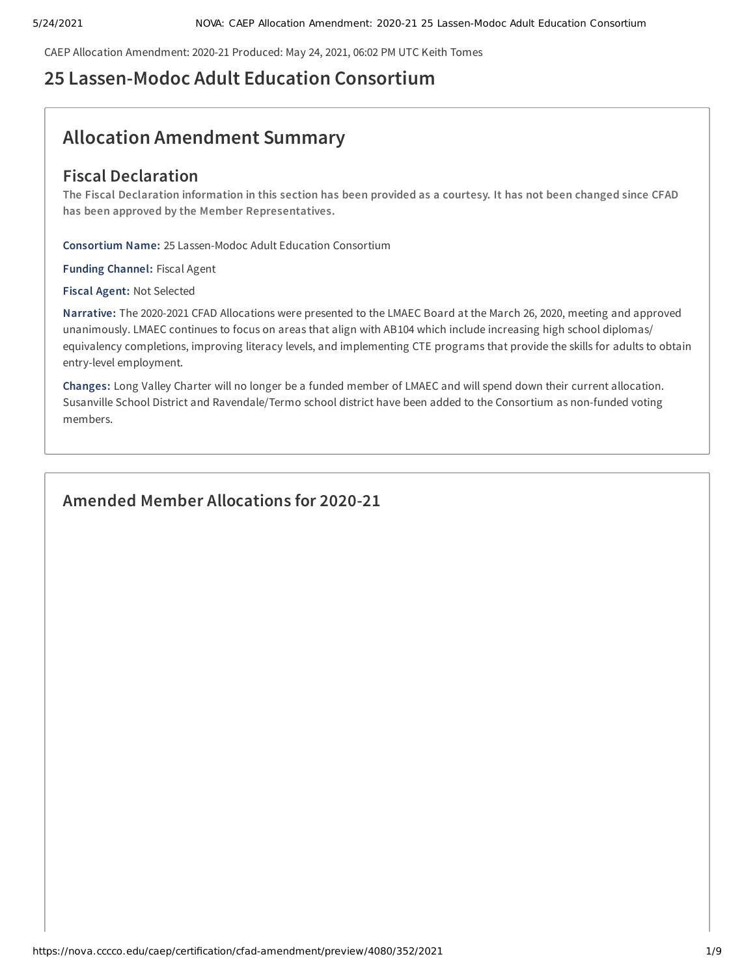CAEP Allocation Amendment: 2020-21 Produced: May 24, 2021, 06:02 PM UTC Keith Tomes

# **25 Lassen-Modoc Adult Education Consortium**

# **Allocation Amendment Summary**

# **Fiscal Declaration**

The Fiscal Declaration information in this section has been provided as a courtesy. It has not been changed since CFAD **has been approved by the Member Representatives.**

**Consortium Name:** 25 Lassen-Modoc Adult Education Consortium

**Funding Channel:** Fiscal Agent

**Fiscal Agent:** Not Selected

**Narrative:** The 2020-2021 CFAD Allocations were presented to the LMAEC Board at the March 26, 2020, meeting and approved unanimously. LMAEC continues to focus on areas that align with AB104 which include increasing high school diplomas/ equivalency completions, improving literacy levels, and implementing CTE programs that provide the skills for adults to obtain entry-level employment.

**Changes:** Long Valley Charter will no longer be a funded member of LMAEC and will spend down their current allocation. Susanville School District and Ravendale/Termo school district have been added to the Consortium as non-funded voting members.

# **Amended Member Allocations for 2020-21**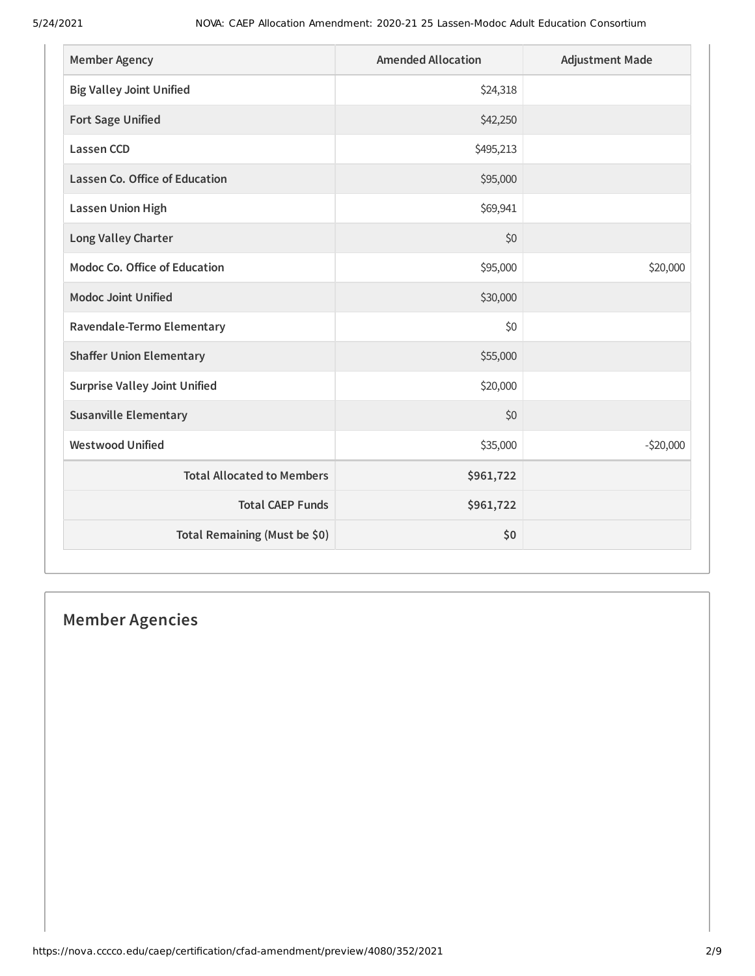| <b>Member Agency</b>                 | <b>Amended Allocation</b> | <b>Adjustment Made</b> |
|--------------------------------------|---------------------------|------------------------|
| <b>Big Valley Joint Unified</b>      | \$24,318                  |                        |
| <b>Fort Sage Unified</b>             | \$42,250                  |                        |
| <b>Lassen CCD</b>                    | \$495,213                 |                        |
| Lassen Co. Office of Education       | \$95,000                  |                        |
| <b>Lassen Union High</b>             | \$69,941                  |                        |
| <b>Long Valley Charter</b>           | \$0                       |                        |
| Modoc Co. Office of Education        | \$95,000                  | \$20,000               |
| <b>Modoc Joint Unified</b>           | \$30,000                  |                        |
| Ravendale-Termo Elementary           | \$0                       |                        |
| <b>Shaffer Union Elementary</b>      | \$55,000                  |                        |
| <b>Surprise Valley Joint Unified</b> | \$20,000                  |                        |
| <b>Susanville Elementary</b>         | \$0                       |                        |
| <b>Westwood Unified</b>              | \$35,000                  | $-520,000$             |
| <b>Total Allocated to Members</b>    | \$961,722                 |                        |
| <b>Total CAEP Funds</b>              | \$961,722                 |                        |
| Total Remaining (Must be \$0)        | \$0                       |                        |

# **Member Agencies**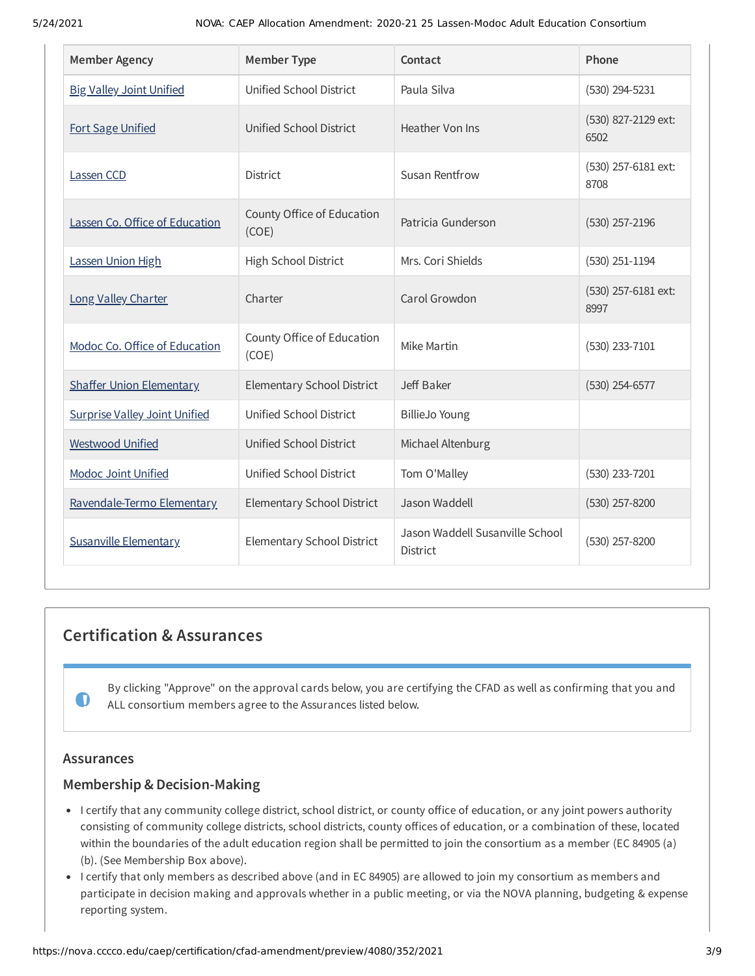| <b>Member Agency</b>                 | <b>Member Type</b>                  | Contact                                            | Phone                       |
|--------------------------------------|-------------------------------------|----------------------------------------------------|-----------------------------|
| <b>Big Valley Joint Unified</b>      | Unified School District             | Paula Silva                                        | $(530)$ 294-5231            |
| <b>Fort Sage Unified</b>             | Unified School District             | Heather Von Ins                                    | (530) 827-2129 ext:<br>6502 |
| Lassen CCD                           | <b>District</b>                     | <b>Susan Rentfrow</b>                              | (530) 257-6181 ext:<br>8708 |
| Lassen Co. Office of Education       | County Office of Education<br>(COE) | Patricia Gunderson                                 | $(530)$ 257-2196            |
| Lassen Union High                    | High School District                | Mrs. Cori Shields                                  | $(530)$ 251-1194            |
| Long Valley Charter                  | Charter                             | Carol Growdon                                      | (530) 257-6181 ext:<br>8997 |
| Modoc Co. Office of Education        | County Office of Education<br>(COE) | Mike Martin                                        | (530) 233-7101              |
| <b>Shaffer Union Elementary</b>      | Elementary School District          | Jeff Baker                                         | $(530)$ 254-6577            |
| <b>Surprise Valley Joint Unified</b> | Unified School District             | <b>BillieJo Young</b>                              |                             |
| <b>Westwood Unified</b>              | Unified School District             | Michael Altenburg                                  |                             |
| <b>Modoc Joint Unified</b>           | Unified School District             | Tom O'Malley                                       | (530) 233-7201              |
| Ravendale-Termo Elementary           | <b>Elementary School District</b>   | Jason Waddell                                      | $(530)$ 257-8200            |
| <b>Susanville Elementary</b>         | <b>Elementary School District</b>   | Jason Waddell Susanville School<br><b>District</b> | (530) 257-8200              |

# **Certification & Assurances**

By clicking "Approve" on the approval cards below, you are certifying the CFAD as well as confirming that you and ALL consortium members agree to the Assurances listed below.

# **Assurances**

 $\bullet$ 

# **Membership & Decision-Making**

- I certify that any community college district, school district, or county office of education, or any joint powers authority consisting of community college districts, school districts, county offices of education, or a combination of these, located within the boundaries of the adult education region shall be permitted to join the consortium as a member (EC 84905 (a) (b). (See Membership Box above).
- I certify that only members as described above (and in EC 84905) are allowed to join my consortium as members and participate in decision making and approvals whether in a public meeting, or via the NOVA planning, budgeting & expense reporting system.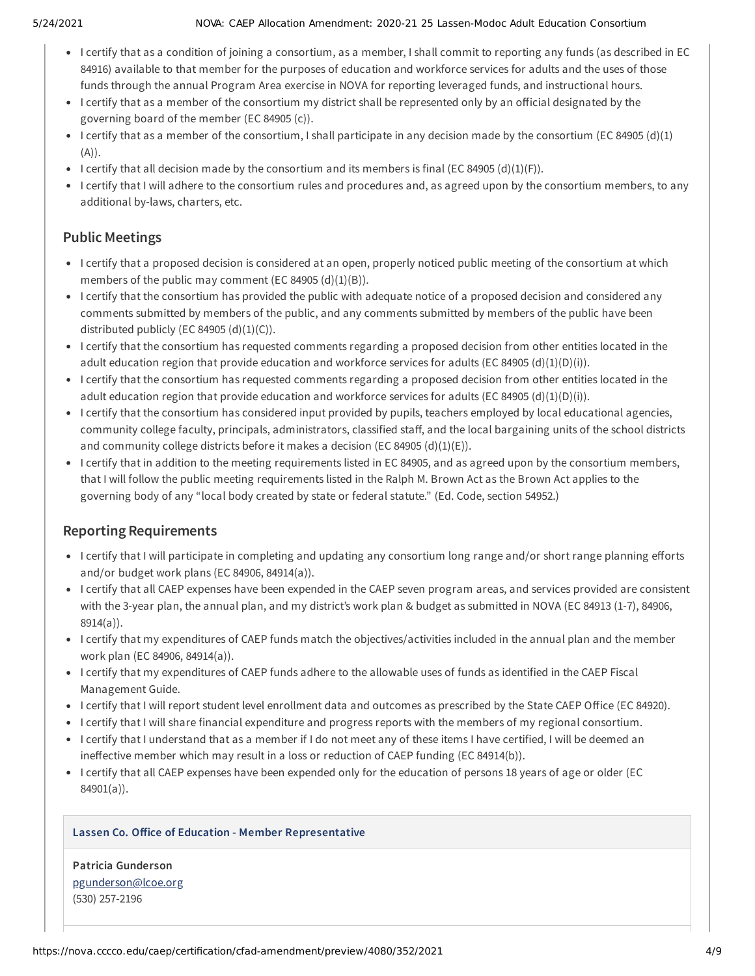#### 5/24/2021 NOVA: CAEP Allocation Amendment: 2020-21 25 Lassen-Modoc Adult Education Consortium

- I certify that as a condition of joining a consortium, as a member, I shall commit to reporting any funds (as described in EC 84916) available to that member for the purposes of education and workforce services for adults and the uses of those funds through the annual Program Area exercise in NOVA for reporting leveraged funds, and instructional hours.
- I certify that as a member of the consortium my district shall be represented only by an official designated by the governing board of the member (EC 84905 (c)).
- I certify that as a member of the consortium, I shall participate in any decision made by the consortium (EC 84905 (d)(1)  $(A)$ ).
- I certify that all decision made by the consortium and its members is final (EC 84905 (d)(1)(F)).
- I certify that I will adhere to the consortium rules and procedures and, as agreed upon by the consortium members, to any additional by-laws, charters, etc.

# **Public Meetings**

- I certify that a proposed decision is considered at an open, properly noticed public meeting of the consortium at which members of the public may comment (EC 84905  $(d)(1)(B)$ ).
- I certify that the consortium has provided the public with adequate notice of a proposed decision and considered any comments submitted by members of the public, and any comments submitted by members of the public have been distributed publicly (EC 84905  $(d)(1)(C)$ ).
- I certify that the consortium has requested comments regarding a proposed decision from other entities located in the adult education region that provide education and workforce services for adults (EC 84905 (d)(1)(D)(i)).
- I certify that the consortium has requested comments regarding a proposed decision from other entities located in the adult education region that provide education and workforce services for adults (EC 84905 (d)(1)(D)(i)).
- I certify that the consortium has considered input provided by pupils, teachers employed by local educational agencies, community college faculty, principals, administrators, classified staff, and the local bargaining units of the school districts and community college districts before it makes a decision (EC 84905 (d)(1)(E)).
- I certify that in addition to the meeting requirements listed in EC 84905, and as agreed upon by the consortium members, that I will follow the public meeting requirements listed in the Ralph M. Brown Act as the Brown Act applies to the governing body of any "local body created by state or federal statute." (Ed. Code, section 54952.)

# **Reporting Requirements**

- I certify that I will participate in completing and updating any consortium long range and/or short range planning efforts and/or budget work plans (EC 84906, 84914(a)).
- I certify that all CAEP expenses have been expended in the CAEP seven program areas, and services provided are consistent with the 3-year plan, the annual plan, and my district's work plan & budget as submitted in NOVA (EC 84913 (1-7), 84906, 8914(a)).
- I certify that my expenditures of CAEP funds match the objectives/activities included in the annual plan and the member work plan (EC 84906, 84914(a)).
- I certify that my expenditures of CAEP funds adhere to the allowable uses of funds as identified in the CAEP Fiscal Management Guide.
- I certify that I will report student level enrollment data and outcomes as prescribed by the State CAEP Office (EC 84920).
- I certify that I will share financial expenditure and progress reports with the members of my regional consortium.
- I certify that I understand that as a member if I do not meet any of these items I have certified, I will be deemed an ineffective member which may result in a loss or reduction of CAEP funding (EC 84914(b)).
- I certify that all CAEP expenses have been expended only for the education of persons 18 years of age or older (EC 84901(a)).

# **Lassen Co. Oice of Education - Member Representative**

**Patricia Gunderson** [pgunderson@lcoe.org](mailto:pgunderson@lcoe.org) (530) 257-2196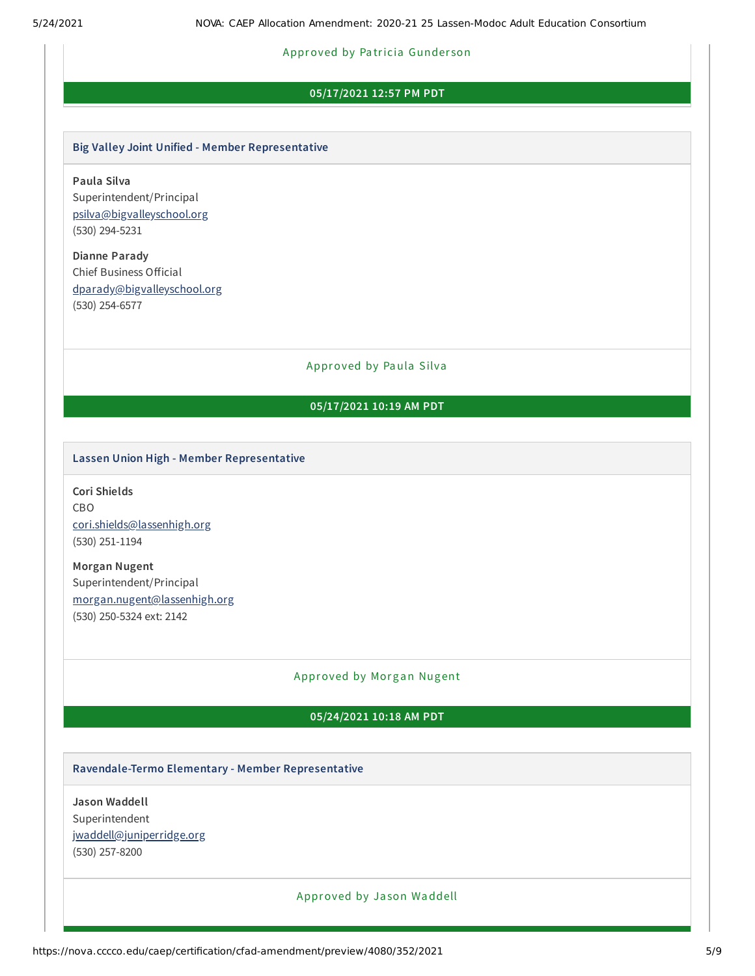#### Approved by Pa tricia Gunder son

# **05/17/2021 12:57 PM PDT**

#### **Big Valley Joint Unified - Member Representative**

**Paula Silva** Superintendent/Principal [psilva@bigvalleyschool.org](mailto:psilva@bigvalleyschool.org) (530) 294-5231

**Dianne Parady** Chief Business Official [dparady@bigvalleyschool.org](mailto:dparady@bigvalleyschool.org) (530) 254-6577

Approved by Paula Silva

# **05/17/2021 10:19 AM PDT**

#### **Lassen Union High - Member Representative**

**Cori Shields** CBO [cori.shields@lassenhigh.org](mailto:cori.shields@lassenhigh.org) (530) 251-1194

**Morgan Nugent** Superintendent/Principal [morgan.nugent@lassenhigh.org](mailto:morgan.nugent@lassenhigh.org) (530) 250-5324 ext: 2142

#### Approved by Morgan Nugent

## **05/24/2021 10:18 AM PDT**

#### **Ravendale-Termo Elementary - Member Representative**

**Jason Waddell** Superintendent [jwaddell@juniperridge.org](mailto:jwaddell@juniperridge.org) (530) 257-8200

#### Approved by Ja son Waddell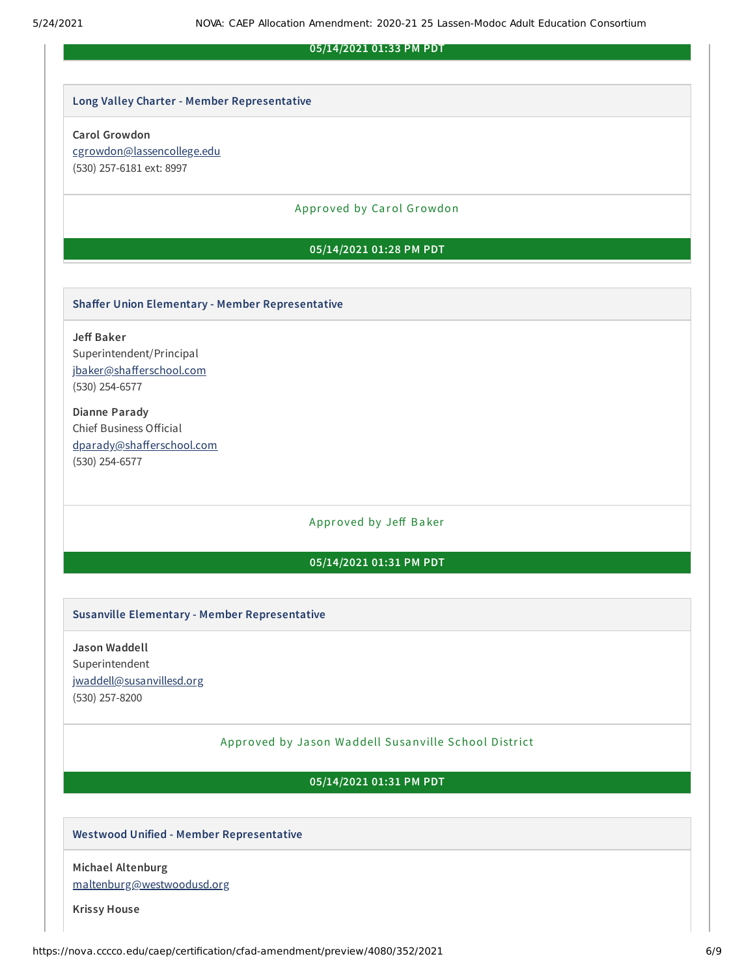### **05/14/2021 01:33 PM PDT**

## **Long Valley Charter - Member Representative**

#### **Carol Growdon**

[cgrowdon@lassencollege.edu](mailto:cgrowdon@lassencollege.edu) (530) 257-6181 ext: 8997

#### Approved by Carol Growdon

## **05/14/2021 01:28 PM PDT**

#### **Shaer Union Elementary - Member Representative**

**Je Baker** Superintendent/Principal jbaker@shafferschool.com (530) 254-6577

**Dianne Parady** Chief Business Official dparady@shafferschool.com (530) 254-6577

# Approved by Jeff Baker

#### **05/14/2021 01:31 PM PDT**

#### **Susanville Elementary - Member Representative**

**Jason Waddell** Superintendent [jwaddell@susanvillesd.org](mailto:jwaddell@susanvillesd.org) (530) 257-8200

## Approved by Ja son Waddell Susanville School District

**05/14/2021 01:31 PM PDT**

## **Westwood Unified - Member Representative**

**Michael Altenburg** [maltenburg@westwoodusd.org](mailto:maltenburg@westwoodusd.org)

**Krissy House**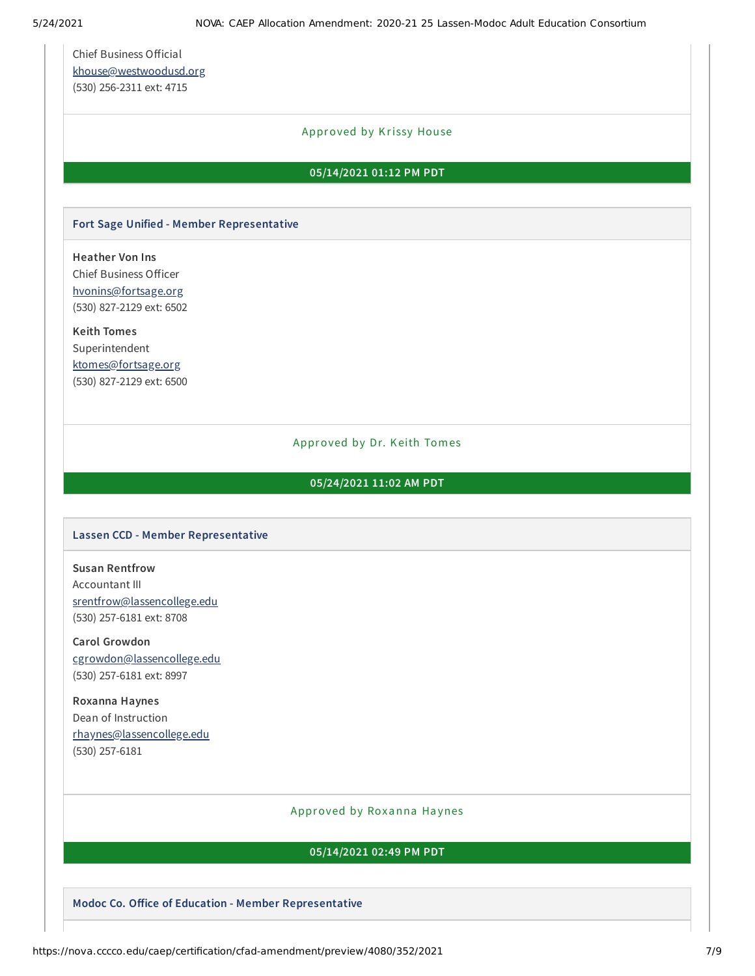Chief Business Official [khouse@westwoodusd.org](mailto:khouse@westwoodusd.org) (530) 256-2311 ext: 4715

# Approved by Krissy House

#### **05/14/2021 01:12 PM PDT**

# **Fort Sage Unified - Member Representative**

**Heather Von Ins** Chief Business Officer [hvonins@fortsage.org](mailto:hvonins@fortsage.org) (530) 827-2129 ext: 6502

**Keith Tomes** Superintendent [ktomes@fortsage.org](mailto:ktomes@fortsage.org) (530) 827-2129 ext: 6500

#### Approved by Dr. Keith Tomes

#### **05/24/2021 11:02 AM PDT**

#### **Lassen CCD - Member Representative**

**Susan Rentfrow** Accountant III [srentfrow@lassencollege.edu](mailto:srentfrow@lassencollege.edu) (530) 257-6181 ext: 8708

**Carol Growdon** [cgrowdon@lassencollege.edu](mailto:cgrowdon@lassencollege.edu) (530) 257-6181 ext: 8997

**Roxanna Haynes** Dean of Instruction [rhaynes@lassencollege.edu](mailto:rhaynes@lassencollege.edu) (530) 257-6181

#### Approved by Roxanna Haynes

## **05/14/2021 02:49 PM PDT**

**Modoc Co. Oice of Education - Member Representative**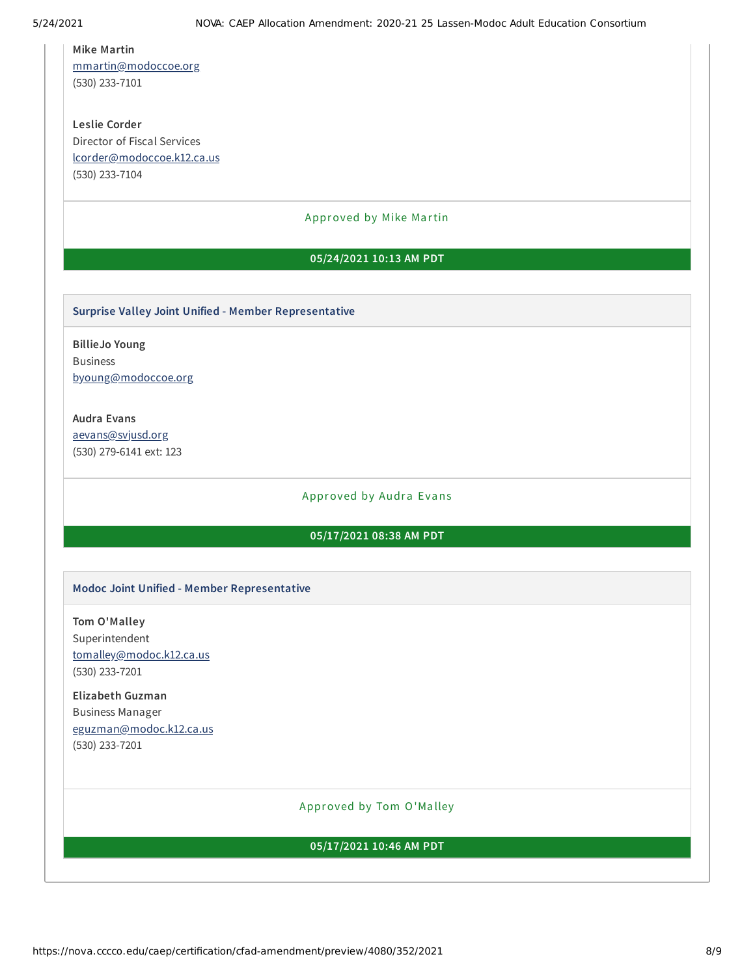# **Mike Martin**

[mmartin@modoccoe.org](mailto:mmartin@modoccoe.org) (530) 233-7101

**Leslie Corder** Director of Fiscal Services [lcorder@modoccoe.k12.ca.us](mailto:lcorder@modoccoe.k12.ca.us) (530) 233-7104

# Approved by Mike Martin

## **05/24/2021 10:13 AM PDT**

#### **Surprise Valley Joint Unified - Member Representative**

**BillieJo Young** Business [byoung@modoccoe.org](mailto:byoung@modoccoe.org)

## **Audra Evans**

[aevans@svjusd.org](mailto:aevans@svjusd.org) (530) 279-6141 ext: 123

# Approved by Audra Evans

# **05/17/2021 08:38 AM PDT**

#### **Modoc Joint Unified - Member Representative**

**Tom O'Malley** Superintendent [tomalley@modoc.k12.ca.us](mailto:tomalley@modoc.k12.ca.us) (530) 233-7201

# **Elizabeth Guzman** Business Manager [eguzman@modoc.k12.ca.us](mailto:eguzman@modoc.k12.ca.us) (530) 233-7201

## Approved by Tom O'Ma lley

#### **05/17/2021 10:46 AM PDT**

https://nova.cccco.edu/caep/certification/cfad-amendment/preview/4080/352/2021 8/9